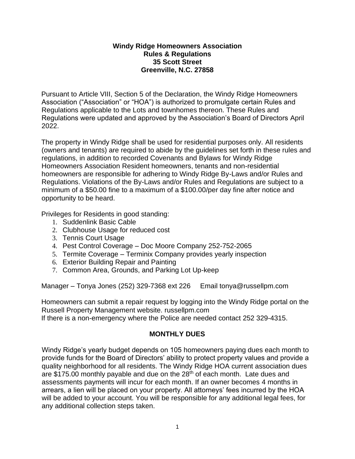## **Windy Ridge Homeowners Association Rules & Regulations 35 Scott Street Greenville, N.C. 27858**

Pursuant to Article VIII, Section 5 of the Declaration, the Windy Ridge Homeowners Association ("Association" or "HOA") is authorized to promulgate certain Rules and Regulations applicable to the Lots and townhomes thereon. These Rules and Regulations were updated and approved by the Association's Board of Directors April 2022.

The property in Windy Ridge shall be used for residential purposes only. All residents (owners and tenants) are required to abide by the guidelines set forth in these rules and regulations, in addition to recorded Covenants and Bylaws for Windy Ridge Homeowners Association Resident homeowners, tenants and non-residential homeowners are responsible for adhering to Windy Ridge By-Laws and/or Rules and Regulations. Violations of the By-Laws and/or Rules and Regulations are subject to a minimum of a \$50.00 fine to a maximum of a \$100.00/per day fine after notice and opportunity to be heard.

Privileges for Residents in good standing:

- 1. Suddenlink Basic Cable
- 2. Clubhouse Usage for reduced cost
- 3. Tennis Court Usage
- 4. Pest Control Coverage Doc Moore Company 252-752-2065
- 5. Termite Coverage Terminix Company provides yearly inspection
- 6. Exterior Building Repair and Painting
- 7. Common Area, Grounds, and Parking Lot Up-keep

Manager – Tonya Jones (252) 329-7368 ext 226 Email tonya@russellpm.com

Homeowners can submit a repair request by logging into the Windy Ridge portal on the Russell Property Management website. russellpm.com

If there is a non-emergency where the Police are needed contact 252 329-4315.

# **MONTHLY DUES**

Windy Ridge's yearly budget depends on 105 homeowners paying dues each month to provide funds for the Board of Directors' ability to protect property values and provide a quality neighborhood for all residents. The Windy Ridge HOA current association dues are \$175.00 monthly payable and due on the 28<sup>th</sup> of each month. Late dues and assessments payments will incur for each month. If an owner becomes 4 months in arrears, a lien will be placed on your property. All attorneys' fees incurred by the HOA will be added to your account. You will be responsible for any additional legal fees, for any additional collection steps taken.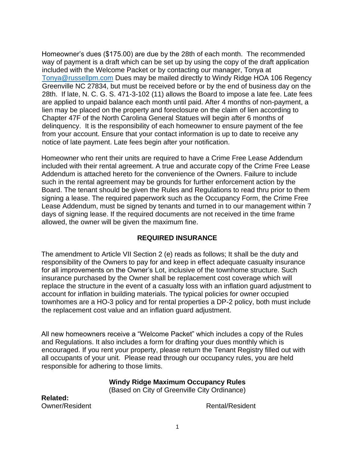Homeowner's dues (\$175.00) are due by the 28th of each month. The recommended way of payment is a draft which can be set up by using the copy of the draft application included with the Welcome Packet or by contacting our manager, Tonya at [Tonya@russellpm.com](about:blank) Dues may be mailed directly to Windy Ridge HOA 106 Regency Greenville NC 27834, but must be received before or by the end of business day on the 28th. If late, N. C. G. S. 471-3-102 (11) allows the Board to impose a late fee. Late fees are applied to unpaid balance each month until paid. After 4 months of non-payment, a lien may be placed on the property and foreclosure on the claim of lien according to Chapter 47F of the North Carolina General Statues will begin after 6 months of delinquency. It is the responsibility of each homeowner to ensure payment of the fee from your account. Ensure that your contact information is up to date to receive any notice of late payment. Late fees begin after your notification.

Homeowner who rent their units are required to have a Crime Free Lease Addendum included with their rental agreement. A true and accurate copy of the Crime Free Lease Addendum is attached hereto for the convenience of the Owners. Failure to include such in the rental agreement may be grounds for further enforcement action by the Board. The tenant should be given the Rules and Regulations to read thru prior to them signing a lease. The required paperwork such as the Occupancy Form, the Crime Free Lease Addendum, must be signed by tenants and turned in to our management within 7 days of signing lease. If the required documents are not received in the time frame allowed, the owner will be given the maximum fine.

# **REQUIRED INSURANCE**

The amendment to Article VII Section 2 (e) reads as follows; It shall be the duty and responsibility of the Owners to pay for and keep in effect adequate casualty insurance for all improvements on the Owner's Lot, inclusive of the townhome structure. Such insurance purchased by the Owner shall be replacement cost coverage which will replace the structure in the event of a casualty loss with an inflation guard adjustment to account for inflation in building materials. The typical policies for owner occupied townhomes are a HO-3 policy and for rental properties a DP-2 policy, both must include the replacement cost value and an inflation guard adjustment.

All new homeowners receive a "Welcome Packet" which includes a copy of the Rules and Regulations. It also includes a form for drafting your dues monthly which is encouraged. If you rent your property, please return the Tenant Registry filled out with all occupants of your unit. Please read through our occupancy rules, you are held responsible for adhering to those limits.

## **Windy Ridge Maximum Occupancy Rules**

(Based on City of Greenville City Ordinance)

**Related:**  Owner/Resident **Rental/Resident** Rental/Resident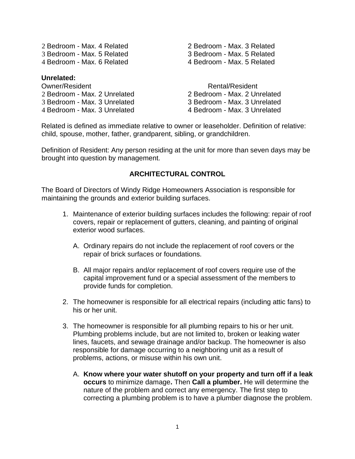3 Bedroom - Max. 5 Related 3 Bedroom - Max. 5 Related 4 Bedroom - Max. 6 Related 4 Bedroom - Max. 5 Related

### **Unrelated:**

Owner/Resident **Rental/Resident** Rental/Resident Bedroom - Max. 2 Unrelated 2 Bedroom - Max. 2 Unrelated Bedroom - Max. 3 Unrelated 3 Bedroom - Max. 3 Unrelated Bedroom - Max. 3 Unrelated 4 Bedroom - Max. 3 Unrelated

2 Bedroom - Max. 4 Related 2 Bedroom - Max. 3 Related

Related is defined as immediate relative to owner or leaseholder. Definition of relative: child, spouse, mother, father, grandparent, sibling, or grandchildren.

Definition of Resident: Any person residing at the unit for more than seven days may be brought into question by management.

#### **ARCHITECTURAL CONTROL**

The Board of Directors of Windy Ridge Homeowners Association is responsible for maintaining the grounds and exterior building surfaces.

- 1. Maintenance of exterior building surfaces includes the following: repair of roof covers, repair or replacement of gutters, cleaning, and painting of original exterior wood surfaces.
	- A. Ordinary repairs do not include the replacement of roof covers or the repair of brick surfaces or foundations.
	- B. All major repairs and/or replacement of roof covers require use of the capital improvement fund or a special assessment of the members to provide funds for completion.
- 2. The homeowner is responsible for all electrical repairs (including attic fans) to his or her unit.
- 3. The homeowner is responsible for all plumbing repairs to his or her unit. Plumbing problems include, but are not limited to, broken or leaking water lines, faucets, and sewage drainage and/or backup. The homeowner is also responsible for damage occurring to a neighboring unit as a result of problems, actions, or misuse within his own unit.
	- A. **Know where your water shutoff on your property and turn off if a leak occurs** to minimize damage**.** Then **Call a plumber.** He will determine the nature of the problem and correct any emergency. The first step to correcting a plumbing problem is to have a plumber diagnose the problem.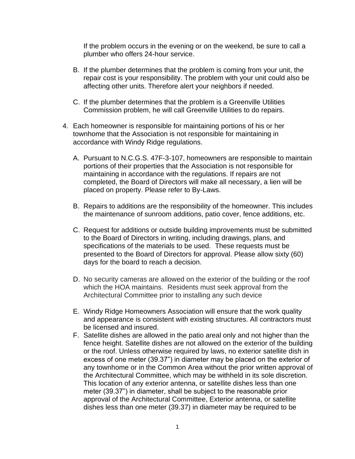If the problem occurs in the evening or on the weekend, be sure to call a plumber who offers 24-hour service.

- B. If the plumber determines that the problem is coming from your unit, the repair cost is your responsibility. The problem with your unit could also be affecting other units. Therefore alert your neighbors if needed.
- C. If the plumber determines that the problem is a Greenville Utilities Commission problem, he will call Greenville Utilities to do repairs.
- 4. Each homeowner is responsible for maintaining portions of his or her townhome that the Association is not responsible for maintaining in accordance with Windy Ridge regulations.
	- A. Pursuant to N.C.G.S. 47F-3-107, homeowners are responsible to maintain portions of their properties that the Association is not responsible for maintaining in accordance with the regulations. If repairs are not completed, the Board of Directors will make all necessary, a lien will be placed on property. Please refer to By-Laws.
	- B. Repairs to additions are the responsibility of the homeowner. This includes the maintenance of sunroom additions, patio cover, fence additions, etc.
	- C. Request for additions or outside building improvements must be submitted to the Board of Directors in writing, including drawings, plans, and specifications of the materials to be used. These requests must be presented to the Board of Directors for approval. Please allow sixty (60) days for the board to reach a decision.
	- D. No security cameras are allowed on the exterior of the building or the roof which the HOA maintains. Residents must seek approval from the Architectural Committee prior to installing any such device
	- E. Windy Ridge Homeowners Association will ensure that the work quality and appearance is consistent with existing structures. All contractors must be licensed and insured.
	- F. Satellite dishes are allowed in the patio areal only and not higher than the fence height. Satellite dishes are not allowed on the exterior of the building or the roof. Unless otherwise required by laws, no exterior satellite dish in excess of one meter (39.37") in diameter may be placed on the exterior of any townhome or in the Common Area without the prior written approval of the Architectural Committee, which may be withheld in its sole discretion. This location of any exterior antenna, or satellite dishes less than one meter (39.37") in diameter, shall be subject to the reasonable prior approval of the Architectural Committee, Exterior antenna, or satellite dishes less than one meter (39.37) in diameter may be required to be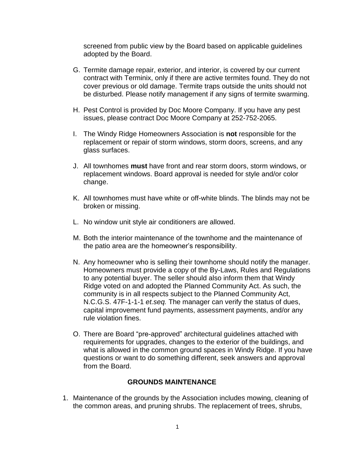screened from public view by the Board based on applicable guidelines adopted by the Board.

- G. Termite damage repair, exterior, and interior, is covered by our current contract with Terminix, only if there are active termites found. They do not cover previous or old damage. Termite traps outside the units should not be disturbed. Please notify management if any signs of termite swarming.
- H. Pest Control is provided by Doc Moore Company. If you have any pest issues, please contract Doc Moore Company at 252-752-2065.
- I. The Windy Ridge Homeowners Association is **not** responsible for the replacement or repair of storm windows, storm doors, screens, and any glass surfaces.
- J. All townhomes **must** have front and rear storm doors, storm windows, or replacement windows. Board approval is needed for style and/or color change.
- K. All townhomes must have white or off-white blinds. The blinds may not be broken or missing.
- L. No window unit style air conditioners are allowed.
- M. Both the interior maintenance of the townhome and the maintenance of the patio area are the homeowner's responsibility.
- N. Any homeowner who is selling their townhome should notify the manager. Homeowners must provide a copy of the By-Laws, Rules and Regulations to any potential buyer. The seller should also inform them that Windy Ridge voted on and adopted the Planned Community Act. As such, the community is in all respects subject to the Planned Community Act, N.C.G.S. 47F-1-1-1 *et.seq.* The manager can verify the status of dues, capital improvement fund payments, assessment payments, and/or any rule violation fines.
- O. There are Board "pre-approved" architectural guidelines attached with requirements for upgrades, changes to the exterior of the buildings, and what is allowed in the common ground spaces in Windy Ridge. If you have questions or want to do something different, seek answers and approval from the Board.

#### **GROUNDS MAINTENANCE**

1. Maintenance of the grounds by the Association includes mowing, cleaning of the common areas, and pruning shrubs. The replacement of trees, shrubs,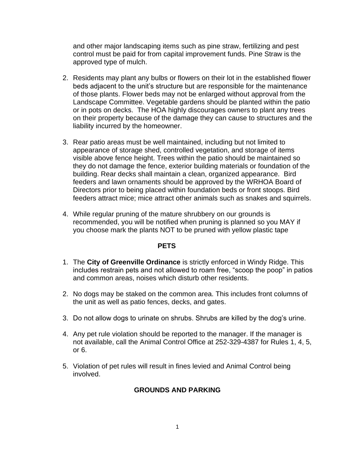and other major landscaping items such as pine straw, fertilizing and pest control must be paid for from capital improvement funds. Pine Straw is the approved type of mulch.

- 2. Residents may plant any bulbs or flowers on their lot in the established flower beds adjacent to the unit's structure but are responsible for the maintenance of those plants. Flower beds may not be enlarged without approval from the Landscape Committee. Vegetable gardens should be planted within the patio or in pots on decks. The HOA highly discourages owners to plant any trees on their property because of the damage they can cause to structures and the liability incurred by the homeowner.
- 3. Rear patio areas must be well maintained, including but not limited to appearance of storage shed, controlled vegetation, and storage of items visible above fence height. Trees within the patio should be maintained so they do not damage the fence, exterior building materials or foundation of the building. Rear decks shall maintain a clean, organized appearance. Bird feeders and lawn ornaments should be approved by the WRHOA Board of Directors prior to being placed within foundation beds or front stoops. Bird feeders attract mice; mice attract other animals such as snakes and squirrels.
- 4. While regular pruning of the mature shrubbery on our grounds is recommended, you will be notified when pruning is planned so you MAY if you choose mark the plants NOT to be pruned with yellow plastic tape

#### **PETS**

- 1. The **City of Greenville Ordinance** is strictly enforced in Windy Ridge. This includes restrain pets and not allowed to roam free, "scoop the poop" in patios and common areas, noises which disturb other residents.
- 2. No dogs may be staked on the common area. This includes front columns of the unit as well as patio fences, decks, and gates.
- 3. Do not allow dogs to urinate on shrubs. Shrubs are killed by the dog's urine.
- 4. Any pet rule violation should be reported to the manager. If the manager is not available, call the Animal Control Office at 252-329-4387 for Rules 1, 4, 5, or 6.
- 5. Violation of pet rules will result in fines levied and Animal Control being involved.

# **GROUNDS AND PARKING**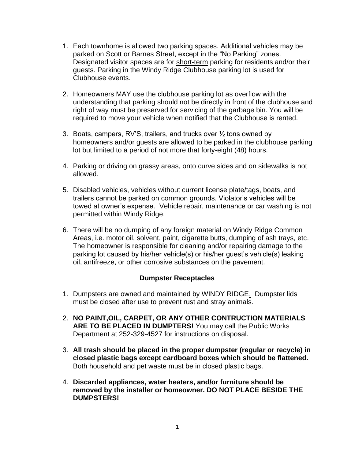- 1. Each townhome is allowed two parking spaces. Additional vehicles may be parked on Scott or Barnes Street, except in the "No Parking" zones. Designated visitor spaces are for short-term parking for residents and/or their guests. Parking in the Windy Ridge Clubhouse parking lot is used for Clubhouse events.
- 2. Homeowners MAY use the clubhouse parking lot as overflow with the understanding that parking should not be directly in front of the clubhouse and right of way must be preserved for servicing of the garbage bin. You will be required to move your vehicle when notified that the Clubhouse is rented.
- 3. Boats, campers, RV'S, trailers, and trucks over ½ tons owned by homeowners and/or guests are allowed to be parked in the clubhouse parking lot but limited to a period of not more that forty-eight (48) hours.
- 4. Parking or driving on grassy areas, onto curve sides and on sidewalks is not allowed.
- 5. Disabled vehicles, vehicles without current license plate/tags, boats, and trailers cannot be parked on common grounds. Violator's vehicles will be towed at owner's expense. Vehicle repair, maintenance or car washing is not permitted within Windy Ridge.
- 6. There will be no dumping of any foreign material on Windy Ridge Common Areas, i.e. motor oil, solvent, paint, cigarette butts, dumping of ash trays, etc. The homeowner is responsible for cleaning and/or repairing damage to the parking lot caused by his/her vehicle(s) or his/her guest's vehicle(s) leaking oil, antifreeze, or other corrosive substances on the pavement.

## **Dumpster Receptacles**

- 1. Dumpsters are owned and maintained by WINDY RIDGE. Dumpster lids must be closed after use to prevent rust and stray animals.
- 2. **NO PAINT,OIL, CARPET, OR ANY OTHER CONTRUCTION MATERIALS ARE TO BE PLACED IN DUMPTERS!** You may call the Public Works Department at 252-329-4527 for instructions on disposal.
- 3. **All trash should be placed in the proper dumpster (regular or recycle) in closed plastic bags except cardboard boxes which should be flattened.**  Both household and pet waste must be in closed plastic bags.
- 4. **Discarded appliances, water heaters, and/or furniture should be removed by the installer or homeowner. DO NOT PLACE BESIDE THE DUMPSTERS!**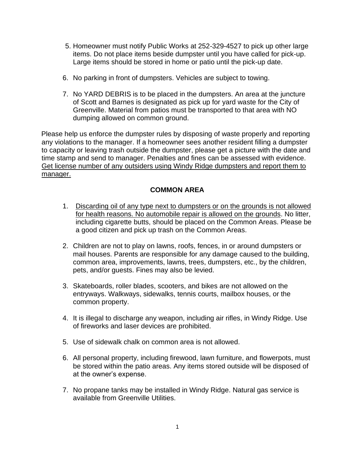- 5. Homeowner must notify Public Works at 252-329-4527 to pick up other large items. Do not place items beside dumpster until you have called for pick-up. Large items should be stored in home or patio until the pick-up date.
- 6. No parking in front of dumpsters. Vehicles are subject to towing.
- 7. No YARD DEBRIS is to be placed in the dumpsters. An area at the juncture of Scott and Barnes is designated as pick up for yard waste for the City of Greenville. Material from patios must be transported to that area with NO dumping allowed on common ground.

Please help us enforce the dumpster rules by disposing of waste properly and reporting any violations to the manager. If a homeowner sees another resident filling a dumpster to capacity or leaving trash outside the dumpster, please get a picture with the date and time stamp and send to manager. Penalties and fines can be assessed with evidence. Get license number of any outsiders using Windy Ridge dumpsters and report them to manager.

# **COMMON AREA**

- 1. Discarding oil of any type next to dumpsters or on the grounds is not allowed for health reasons. No automobile repair is allowed on the grounds. No litter, including cigarette butts, should be placed on the Common Areas. Please be a good citizen and pick up trash on the Common Areas.
- 2. Children are not to play on lawns, roofs, fences, in or around dumpsters or mail houses. Parents are responsible for any damage caused to the building, common area, improvements, lawns, trees, dumpsters, etc., by the children, pets, and/or guests. Fines may also be levied.
- 3. Skateboards, roller blades, scooters, and bikes are not allowed on the entryways. Walkways, sidewalks, tennis courts, mailbox houses, or the common property.
- 4. It is illegal to discharge any weapon, including air rifles, in Windy Ridge. Use of fireworks and laser devices are prohibited.
- 5. Use of sidewalk chalk on common area is not allowed.
- 6. All personal property, including firewood, lawn furniture, and flowerpots, must be stored within the patio areas. Any items stored outside will be disposed of at the owner's expense.
- 7. No propane tanks may be installed in Windy Ridge. Natural gas service is available from Greenville Utilities.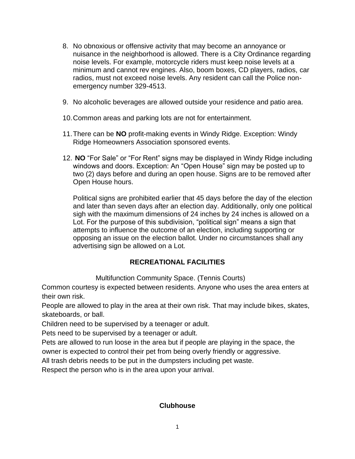- 8. No obnoxious or offensive activity that may become an annoyance or nuisance in the neighborhood is allowed. There is a City Ordinance regarding noise levels. For example, motorcycle riders must keep noise levels at a minimum and cannot rev engines. Also, boom boxes, CD players, radios, car radios, must not exceed noise levels. Any resident can call the Police nonemergency number 329-4513.
- 9. No alcoholic beverages are allowed outside your residence and patio area.
- 10.Common areas and parking lots are not for entertainment.
- 11.There can be **NO** profit-making events in Windy Ridge. Exception: Windy Ridge Homeowners Association sponsored events.
- 12. **NO** "For Sale" or "For Rent" signs may be displayed in Windy Ridge including windows and doors. Exception: An "Open House" sign may be posted up to two (2) days before and during an open house. Signs are to be removed after Open House hours.

Political signs are prohibited earlier that 45 days before the day of the election and later than seven days after an election day. Additionally, only one political sigh with the maximum dimensions of 24 inches by 24 inches is allowed on a Lot. For the purpose of this subdivision, "political sign" means a sign that attempts to influence the outcome of an election, including supporting or opposing an issue on the election ballot. Under no circumstances shall any advertising sign be allowed on a Lot.

# **RECREATIONAL FACILITIES**

Multifunction Community Space. (Tennis Courts)

Common courtesy is expected between residents. Anyone who uses the area enters at their own risk.

People are allowed to play in the area at their own risk. That may include bikes, skates, skateboards, or ball.

Children need to be supervised by a teenager or adult.

Pets need to be supervised by a teenager or adult.

Pets are allowed to run loose in the area but if people are playing in the space, the owner is expected to control their pet from being overly friendly or aggressive.

All trash debris needs to be put in the dumpsters including pet waste.

Respect the person who is in the area upon your arrival.

## **Clubhouse**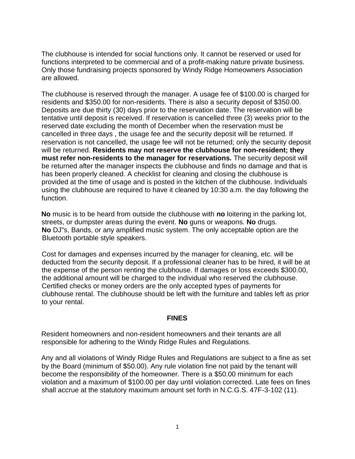The clubhouse is intended for social functions only. It cannot be reserved or used for functions interpreted to be commercial and of a profit-making nature private business. Only those fundraising projects sponsored by Windy Ridge Homeowners Association are allowed.

The clubhouse is reserved through the manager. A usage fee of \$100.00 is charged for residents and \$350.00 for non-residents. There is also a security deposit of \$350.00. Deposits are due thirty (30) days prior to the reservation date. The reservation will be tentative until deposit is received. If reservation is cancelled three (3) weeks prior to the reserved date excluding the month of December when the reservation must be cancelled in three days , the usage fee and the security deposit will be returned. If reservation is not cancelled, the usage fee will not be returned; only the security deposit will be returned. **Residents may not reserve the clubhouse for non-resident; they must refer non-residents to the manager for reservations.** The security deposit will be returned after the manager inspects the clubhouse and finds no damage and that is has been properly cleaned. A checklist for cleaning and closing the clubhouse is provided at the time of usage and is posted in the kitchen of the clubhouse. Individuals using the clubhouse are required to have it cleaned by 10:30 a.m. the day following the function.

**No** music is to be heard from outside the clubhouse with **no** loitering in the parking lot, streets, or dumpster areas during the event. **No** guns or weapons. **No** drugs. **No** DJ"s, Bands, or any amplified music system. The only acceptable option are the Bluetooth portable style speakers.

Cost for damages and expenses incurred by the manager for cleaning, etc. will be deducted from the security deposit. If a professional cleaner has to be hired, it will be at the expense of the person renting the clubhouse. If damages or loss exceeds \$300.00, the additional amount will be charged to the individual who reserved the clubhouse. Certified checks or money orders are the only accepted types of payments for clubhouse rental. The clubhouse should be left with the furniture and tables left as prior to your rental.

## **FINES**

Resident homeowners and non-resident homeowners and their tenants are all responsible for adhering to the Windy Ridge Rules and Regulations.

Any and all violations of Windy Ridge Rules and Regulations are subject to a fine as set by the Board (minimum of \$50.00). Any rule violation fine not paid by the tenant will become the responsibility of the homeowner. There is a \$50.00 minimum for each violation and a maximum of \$100.00 per day until violation corrected. Late fees on fines shall accrue at the statutory maximum amount set forth in N.C.G.S. 47F-3-102 (11).